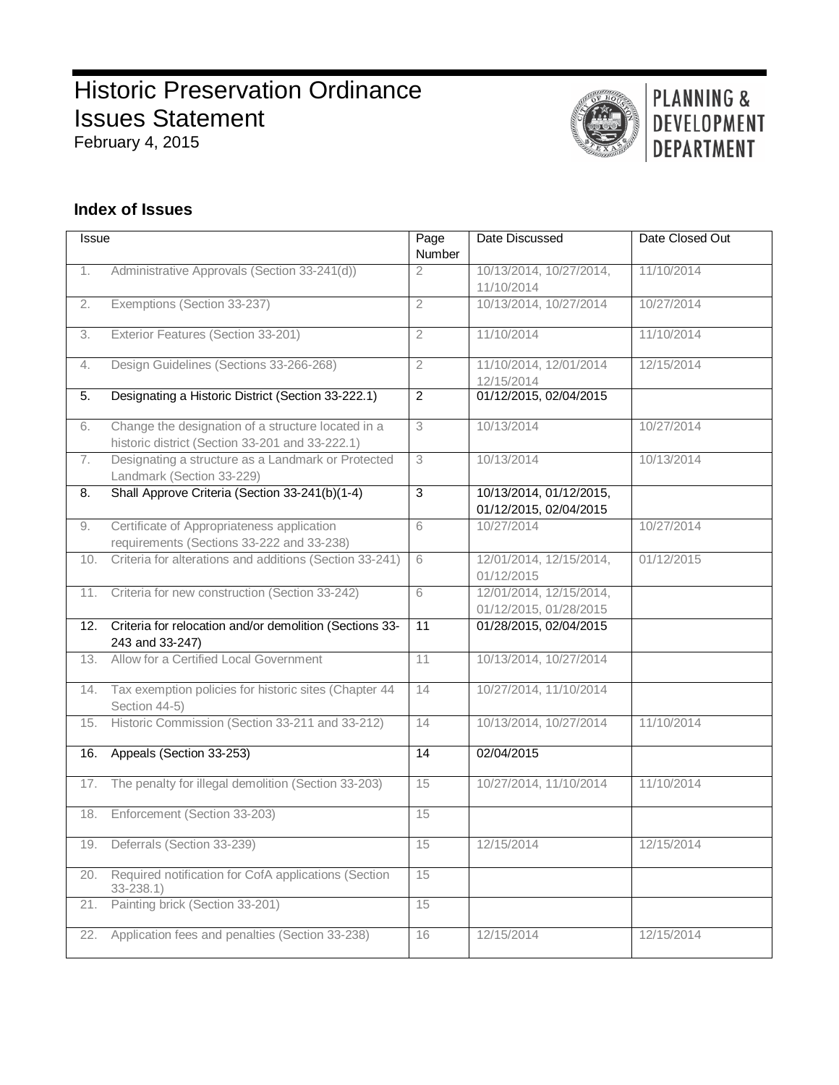# **Historic Preservation Ordinance** Issues Statement February 4, 2015



# PLANNING & DEVELOPMENT **DEPARTMENT**

# **Index of Issues**

| Issue            |                                                                                                       | Page<br>Number  | Date Discussed                                    | Date Closed Out |
|------------------|-------------------------------------------------------------------------------------------------------|-----------------|---------------------------------------------------|-----------------|
| 1.               | Administrative Approvals (Section 33-241(d))                                                          | $\overline{2}$  | 10/13/2014, 10/27/2014,<br>11/10/2014             | 11/10/2014      |
| 2.               | Exemptions (Section 33-237)                                                                           | $\overline{2}$  | 10/13/2014, 10/27/2014                            | 10/27/2014      |
| 3.               | Exterior Features (Section 33-201)                                                                    | $\overline{2}$  | 11/10/2014                                        | 11/10/2014      |
| 4.               | Design Guidelines (Sections 33-266-268)                                                               | $\overline{2}$  | 11/10/2014, 12/01/2014<br>12/15/2014              | 12/15/2014      |
| 5.               | Designating a Historic District (Section 33-222.1)                                                    | $\overline{2}$  | 01/12/2015, 02/04/2015                            |                 |
| 6.               | Change the designation of a structure located in a<br>historic district (Section 33-201 and 33-222.1) | 3               | 10/13/2014                                        | 10/27/2014      |
| 7.               | Designating a structure as a Landmark or Protected<br>Landmark (Section 33-229)                       | 3               | 10/13/2014                                        | 10/13/2014      |
| $\overline{8}$ . | Shall Approve Criteria (Section 33-241(b)(1-4)                                                        | 3               | 10/13/2014, 01/12/2015,<br>01/12/2015, 02/04/2015 |                 |
| 9.               | Certificate of Appropriateness application<br>requirements (Sections 33-222 and 33-238)               | 6               | 10/27/2014                                        | 10/27/2014      |
| 10.              | Criteria for alterations and additions (Section 33-241)                                               | 6               | 12/01/2014, 12/15/2014,<br>01/12/2015             | 01/12/2015      |
| 11.              | Criteria for new construction (Section 33-242)                                                        | 6               | 12/01/2014, 12/15/2014,<br>01/12/2015, 01/28/2015 |                 |
| 12.              | Criteria for relocation and/or demolition (Sections 33-<br>243 and 33-247)                            | $\overline{11}$ | 01/28/2015, 02/04/2015                            |                 |
| 13.              | Allow for a Certified Local Government                                                                | 11              | 10/13/2014, 10/27/2014                            |                 |
| 14.              | Tax exemption policies for historic sites (Chapter 44<br>Section 44-5)                                | 14              | 10/27/2014, 11/10/2014                            |                 |
| 15.              | Historic Commission (Section 33-211 and 33-212)                                                       | 14              | 10/13/2014, 10/27/2014                            | 11/10/2014      |
| 16.              | Appeals (Section 33-253)                                                                              | $\overline{14}$ | 02/04/2015                                        |                 |
| 17.              | The penalty for illegal demolition (Section 33-203)                                                   | 15              | 10/27/2014, 11/10/2014                            | 11/10/2014      |
| 18.              | Enforcement (Section 33-203)                                                                          | 15              |                                                   |                 |
|                  | Deferrals (Section 33-239)                                                                            | 15              | 12/15/2014                                        | 12/15/2014      |
| 20.              | Required notification for CofA applications (Section<br>$33 - 238.1$                                  | 15              |                                                   |                 |
| 21.              | Painting brick (Section 33-201)                                                                       | 15              |                                                   |                 |
| 22.              | Application fees and penalties (Section 33-238)                                                       | 16              | 12/15/2014                                        | 12/15/2014      |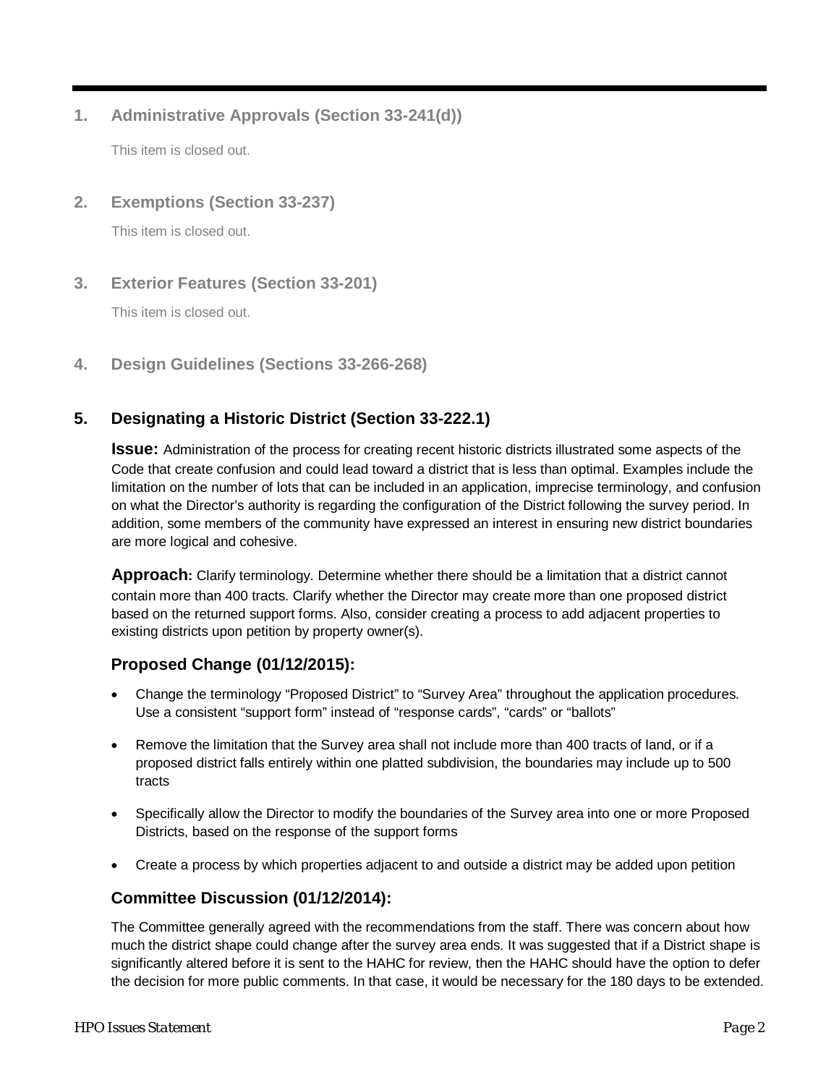## **1. Administrative Approvals (Section 33-241(d))**

This item is closed out.

## **2. Exemptions (Section 33-237)**

This item is closed out.

**3. Exterior Features (Section 33-201)**

This item is closed out.

<span id="page-1-0"></span>**4. Design Guidelines (Sections 33-266-268)**

# **5. Designating a Historic District (Section 33-222.1)**

**Issue:** Administration of the process for creating recent historic districts illustrated some aspects of the Code that create confusion and could lead toward a district that is less than optimal. Examples include the limitation on the number of lots that can be included in an application, imprecise terminology, and confusion on what the Director's authority is regarding the configuration of the District following the survey period. In addition, some members of the community have expressed an interest in ensuring new district boundaries are more logical and cohesive.

**Approach:** Clarify terminology. Determine whether there should be a limitation that a district cannot contain more than 400 tracts. Clarify whether the Director may create more than one proposed district based on the returned support forms. Also, consider creating a process to add adjacent properties to existing districts upon petition by property owner(s).

# **Proposed Change (01/12/2015):**

- Change the terminology "Proposed District" to "Survey Area" throughout the application procedures. Use a consistent "support form" instead of "response cards", "cards" or "ballots"
- Remove the limitation that the Survey area shall not include more than 400 tracts of land, or if a proposed district falls entirely within one platted subdivision, the boundaries may include up to 500 tracts
- Specifically allow the Director to modify the boundaries of the Survey area into one or more Proposed Districts, based on the response of the support forms
- Create a process by which properties adjacent to and outside a district may be added upon petition

## **Committee Discussion (01/12/2014):**

The Committee generally agreed with the recommendations from the staff. There was concern about how much the district shape could change after the survey area ends. It was suggested that if a District shape is significantly altered before it is sent to the HAHC for review, then the HAHC should have the option to defer the decision for more public comments. In that case, it would be necessary for the 180 days to be extended.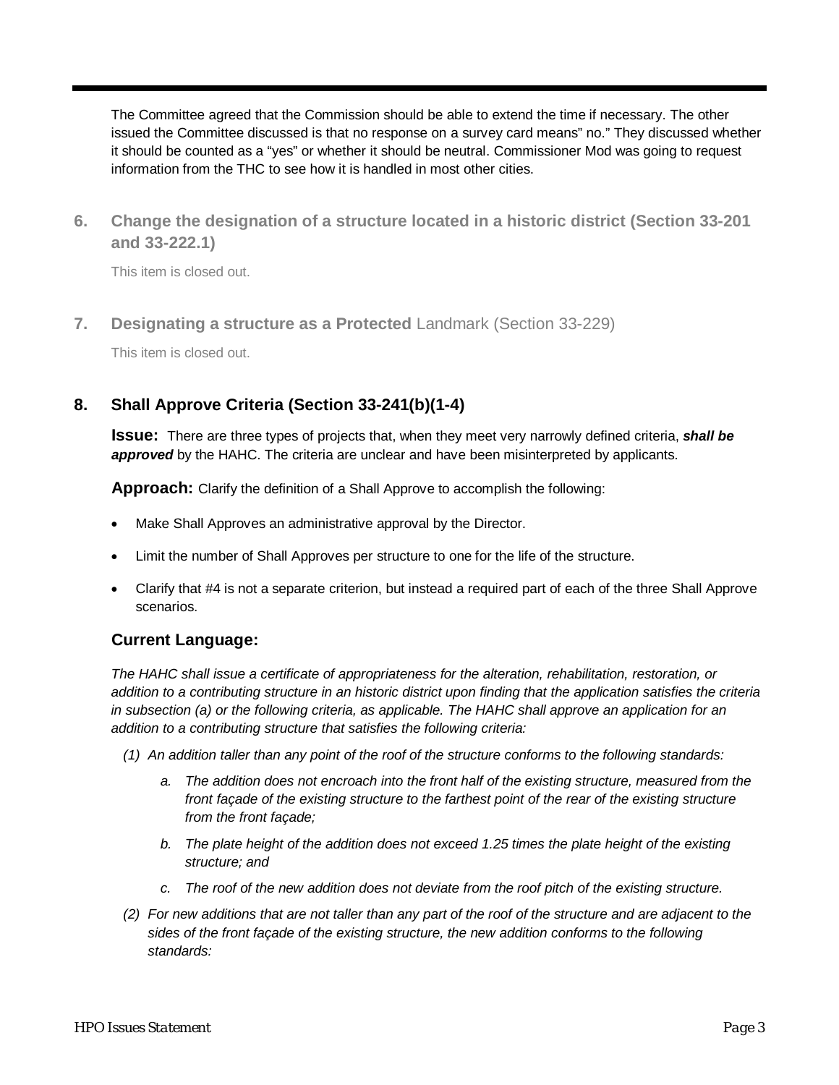The Committee agreed that the Commission should be able to extend the time if necessary. The other issued the Committee discussed is that no response on a survey card means" no." They discussed whether it should be counted as a "yes" or whether it should be neutral. Commissioner Mod was going to request information from the THC to see how it is handled in most other cities.

**6. Change the designation of a structure located in a historic district (Section 33-201 and 33-222.1)**

<span id="page-2-0"></span>This item is closed out.

**7. Designating a structure as a Protected** Landmark (Section 33-229)

This item is closed out.

# <span id="page-2-1"></span>**8. Shall Approve Criteria (Section 33-241(b)(1-4)**

**Issue:** There are three types of projects that, when they meet very narrowly defined criteria, *shall be approved* by the HAHC. The criteria are unclear and have been misinterpreted by applicants.

**Approach:** Clarify the definition of a Shall Approve to accomplish the following:

- Make Shall Approves an administrative approval by the Director.
- Limit the number of Shall Approves per structure to one for the life of the structure.
- Clarify that #4 is not a separate criterion, but instead a required part of each of the three Shall Approve scenarios.

#### **Current Language:**

*The HAHC shall issue a certificate of appropriateness for the alteration, rehabilitation, restoration, or addition to a contributing structure in an historic district upon finding that the application satisfies the criteria in subsection (a) or the following criteria, as applicable. The HAHC shall approve an application for an addition to a contributing structure that satisfies the following criteria:*

- *(1) An addition taller than any point of the roof of the structure conforms to the following standards:*
	- *a. The addition does not encroach into the front half of the existing structure, measured from the front façade of the existing structure to the farthest point of the rear of the existing structure from the front façade;*
	- *b. The plate height of the addition does not exceed 1.25 times the plate height of the existing structure; and*
	- *c. The roof of the new addition does not deviate from the roof pitch of the existing structure.*
- *(2) For new additions that are not taller than any part of the roof of the structure and are adjacent to the sides of the front façade of the existing structure, the new addition conforms to the following standards:*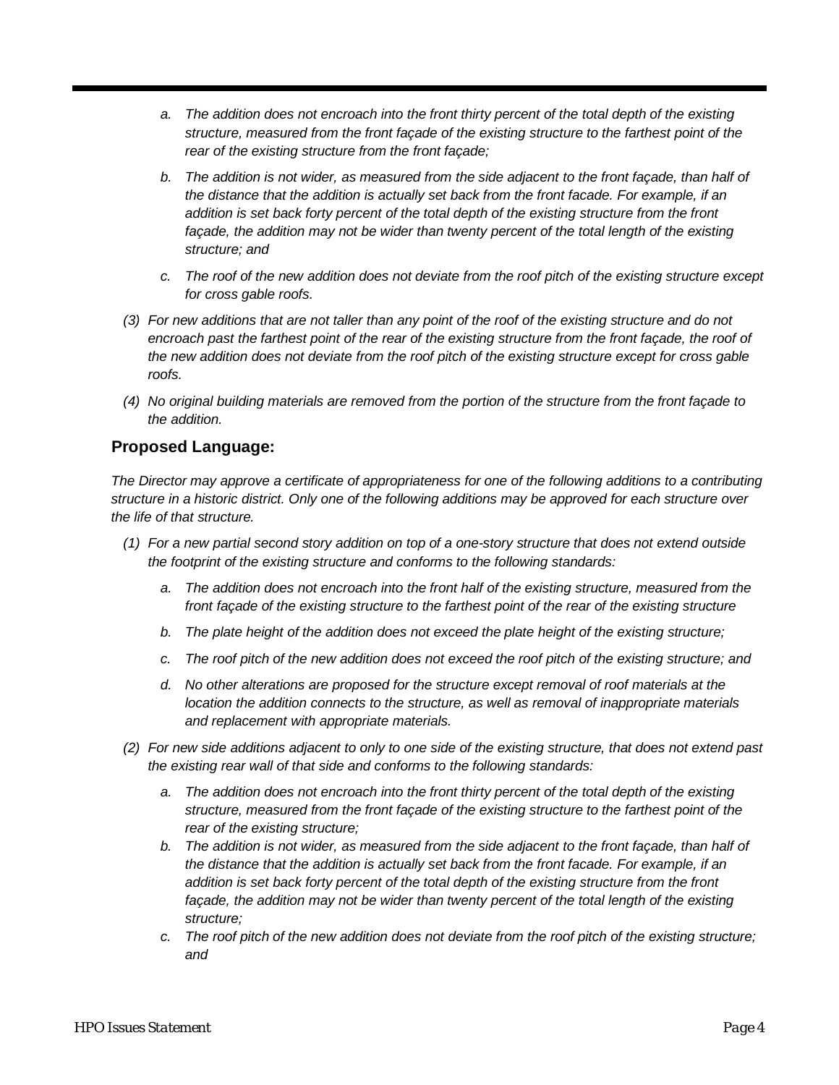- *a. The addition does not encroach into the front thirty percent of the total depth of the existing structure, measured from the front façade of the existing structure to the farthest point of the rear of the existing structure from the front façade;*
- *b. The addition is not wider, as measured from the side adjacent to the front façade, than half of the distance that the addition is actually set back from the front facade. For example, if an addition is set back forty percent of the total depth of the existing structure from the front façade, the addition may not be wider than twenty percent of the total length of the existing structure; and*
- *c. The roof of the new addition does not deviate from the roof pitch of the existing structure except for cross gable roofs.*
- *(3) For new additions that are not taller than any point of the roof of the existing structure and do not*  encroach past the farthest point of the rear of the existing structure from the front façade, the roof of *the new addition does not deviate from the roof pitch of the existing structure except for cross gable roofs.*
- *(4) No original building materials are removed from the portion of the structure from the front façade to the addition.*

## **Proposed Language:**

*The Director may approve a certificate of appropriateness for one of the following additions to a contributing structure in a historic district. Only one of the following additions may be approved for each structure over the life of that structure.*

- *(1) For a new partial second story addition on top of a one-story structure that does not extend outside the footprint of the existing structure and conforms to the following standards:*
	- *a. The addition does not encroach into the front half of the existing structure, measured from the front façade of the existing structure to the farthest point of the rear of the existing structure*
	- *b. The plate height of the addition does not exceed the plate height of the existing structure;*
	- *c. The roof pitch of the new addition does not exceed the roof pitch of the existing structure; and*
	- *d. No other alterations are proposed for the structure except removal of roof materials at the location the addition connects to the structure, as well as removal of inappropriate materials and replacement with appropriate materials.*
- *(2) For new side additions adjacent to only to one side of the existing structure, that does not extend past the existing rear wall of that side and conforms to the following standards:* 
	- *a. The addition does not encroach into the front thirty percent of the total depth of the existing structure, measured from the front façade of the existing structure to the farthest point of the rear of the existing structure;*
	- *b. The addition is not wider, as measured from the side adjacent to the front façade, than half of the distance that the addition is actually set back from the front facade. For example, if an addition is set back forty percent of the total depth of the existing structure from the front façade, the addition may not be wider than twenty percent of the total length of the existing structure;*
	- *c. The roof pitch of the new addition does not deviate from the roof pitch of the existing structure; and*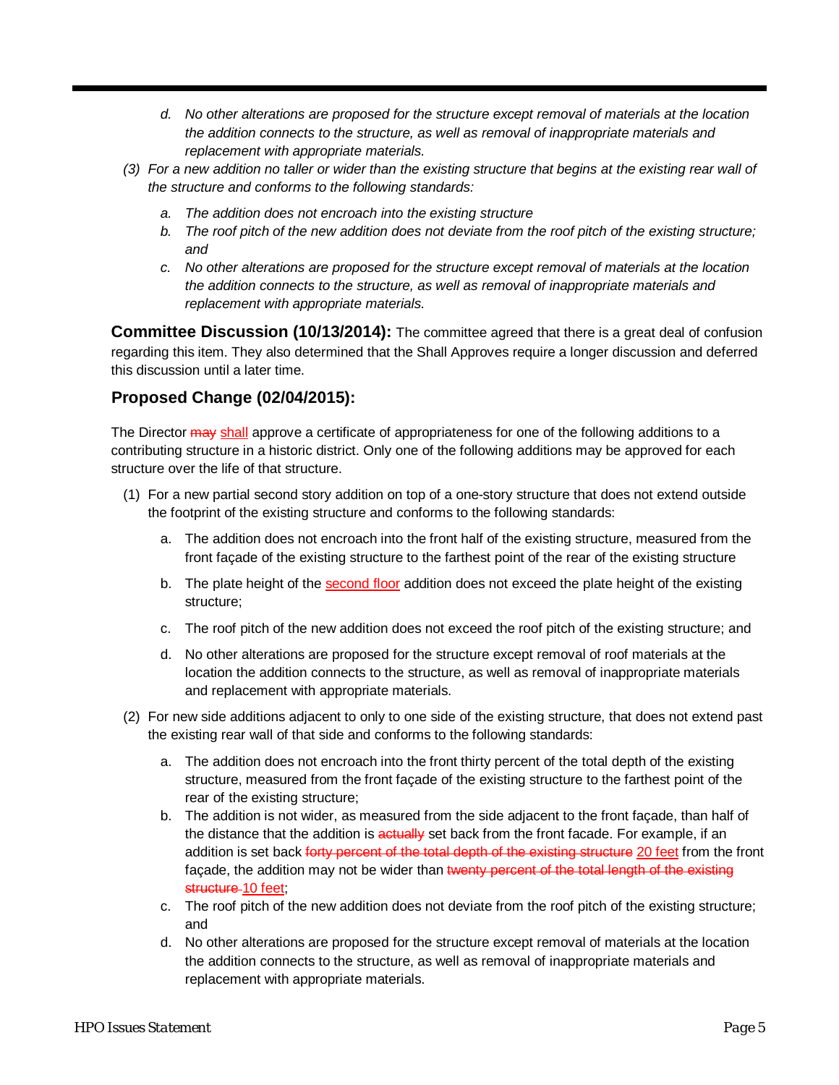- *d. No other alterations are proposed for the structure except removal of materials at the location the addition connects to the structure, as well as removal of inappropriate materials and replacement with appropriate materials.*
- *(3) For a new addition no taller or wider than the existing structure that begins at the existing rear wall of the structure and conforms to the following standards:* 
	- *a. The addition does not encroach into the existing structure*
	- *b. The roof pitch of the new addition does not deviate from the roof pitch of the existing structure; and*
	- *c. No other alterations are proposed for the structure except removal of materials at the location the addition connects to the structure, as well as removal of inappropriate materials and replacement with appropriate materials.*

**Committee Discussion (10/13/2014):** The committee agreed that there is a great deal of confusion regarding this item. They also determined that the Shall Approves require a longer discussion and deferred this discussion until a later time.

## **Proposed Change (02/04/2015):**

The Director  $\frac{1}{2}$  and approve a certificate of appropriateness for one of the following additions to a contributing structure in a historic district. Only one of the following additions may be approved for each structure over the life of that structure.

- (1) For a new partial second story addition on top of a one-story structure that does not extend outside the footprint of the existing structure and conforms to the following standards:
	- a. The addition does not encroach into the front half of the existing structure, measured from the front façade of the existing structure to the farthest point of the rear of the existing structure
	- b. The plate height of the second floor addition does not exceed the plate height of the existing structure;
	- c. The roof pitch of the new addition does not exceed the roof pitch of the existing structure; and
	- d. No other alterations are proposed for the structure except removal of roof materials at the location the addition connects to the structure, as well as removal of inappropriate materials and replacement with appropriate materials.
- (2) For new side additions adjacent to only to one side of the existing structure, that does not extend past the existing rear wall of that side and conforms to the following standards:
	- a. The addition does not encroach into the front thirty percent of the total depth of the existing structure, measured from the front façade of the existing structure to the farthest point of the rear of the existing structure;
	- b. The addition is not wider, as measured from the side adjacent to the front façade, than half of the distance that the addition is actually set back from the front facade. For example, if an addition is set back forty percent of the total depth of the existing structure 20 feet from the front façade, the addition may not be wider than twenty percent of the total length of the existing structure-10 feet;
	- c. The roof pitch of the new addition does not deviate from the roof pitch of the existing structure; and
	- d. No other alterations are proposed for the structure except removal of materials at the location the addition connects to the structure, as well as removal of inappropriate materials and replacement with appropriate materials.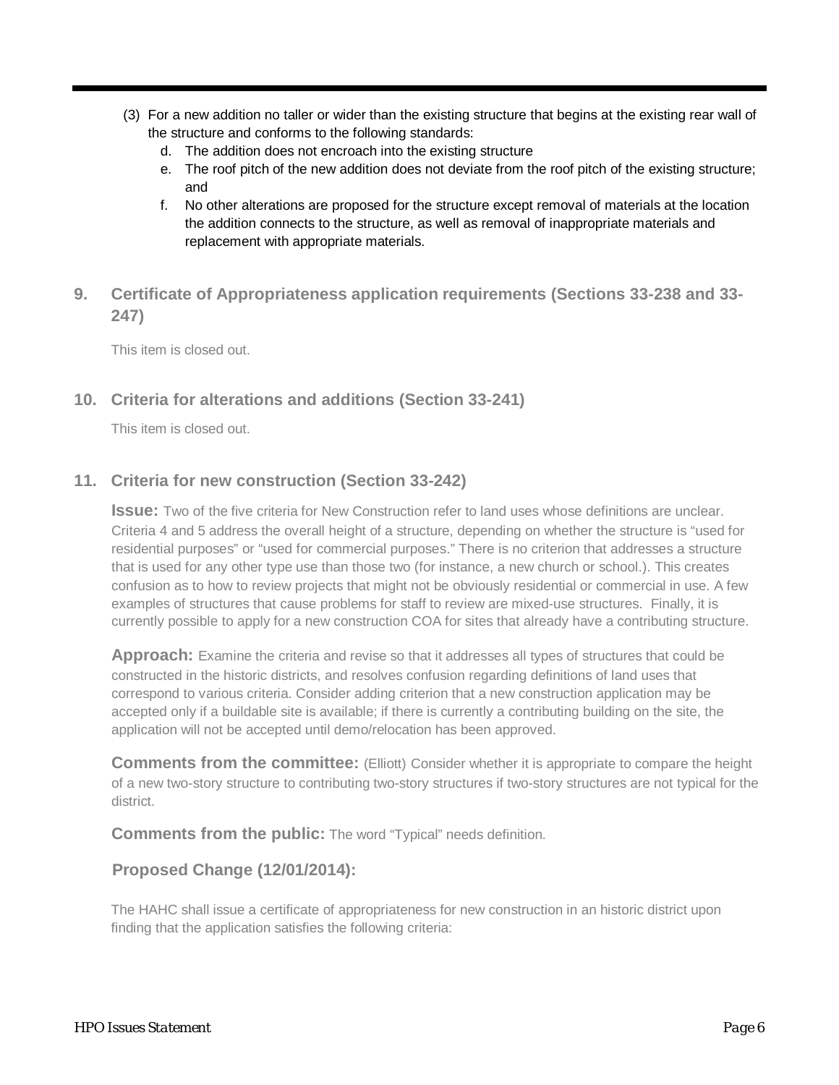- (3) For a new addition no taller or wider than the existing structure that begins at the existing rear wall of the structure and conforms to the following standards:
	- d. The addition does not encroach into the existing structure
	- e. The roof pitch of the new addition does not deviate from the roof pitch of the existing structure; and
	- f. No other alterations are proposed for the structure except removal of materials at the location the addition connects to the structure, as well as removal of inappropriate materials and replacement with appropriate materials.

# **9. Certificate of Appropriateness application requirements (Sections 33-238 and 33- 247)**

This item is closed out.

## **10. Criteria for alterations and additions (Section 33-241)**

This item is closed out.

## **11. Criteria for new construction (Section 33-242)**

**Issue:** Two of the five criteria for New Construction refer to land uses whose definitions are unclear. Criteria 4 and 5 address the overall height of a structure, depending on whether the structure is "used for residential purposes" or "used for commercial purposes." There is no criterion that addresses a structure that is used for any other type use than those two (for instance, a new church or school.). This creates confusion as to how to review projects that might not be obviously residential or commercial in use. A few examples of structures that cause problems for staff to review are mixed-use structures. Finally, it is currently possible to apply for a new construction COA for sites that already have a contributing structure.

**Approach:** Examine the criteria and revise so that it addresses all types of structures that could be constructed in the historic districts, and resolves confusion regarding definitions of land uses that correspond to various criteria. Consider adding criterion that a new construction application may be accepted only if a buildable site is available; if there is currently a contributing building on the site, the application will not be accepted until demo/relocation has been approved.

**Comments from the committee:** (Elliott) Consider whether it is appropriate to compare the height of a new two-story structure to contributing two-story structures if two-story structures are not typical for the district.

**Comments from the public:** The word "Typical" needs definition.

## **Proposed Change (12/01/2014):**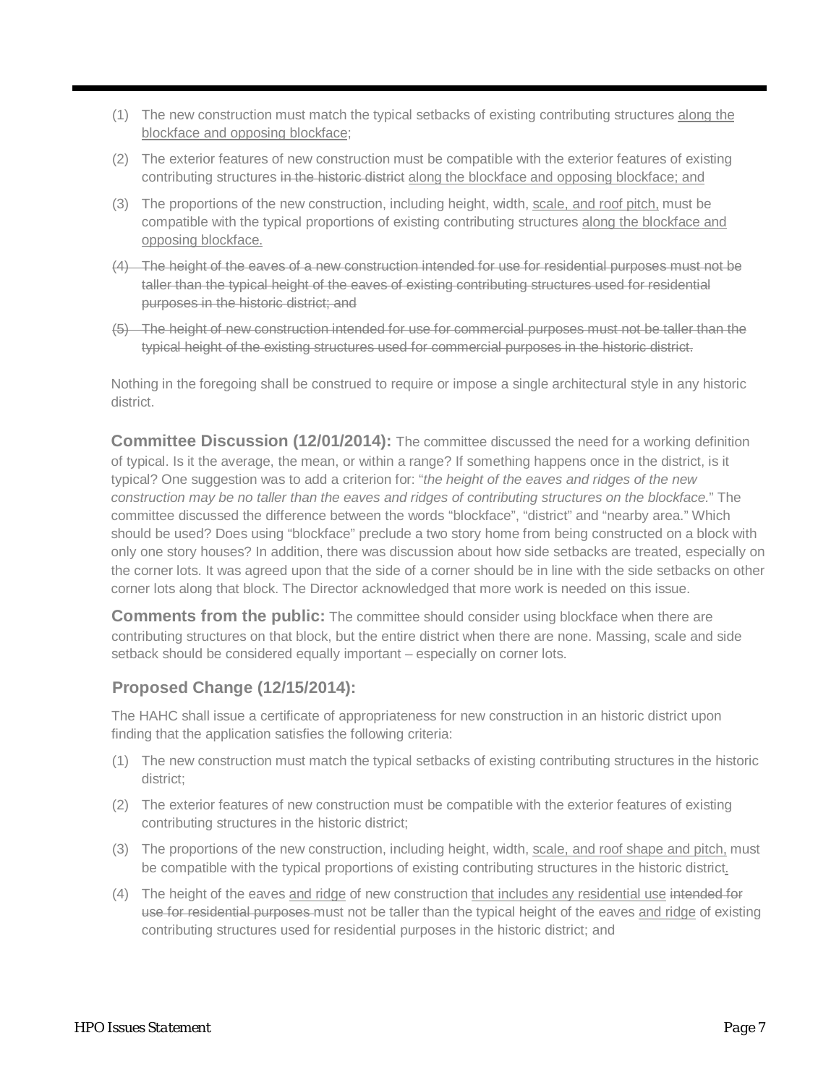- (1) The new construction must match the typical setbacks of existing contributing structures along the blockface and opposing blockface;
- (2) The exterior features of new construction must be compatible with the exterior features of existing contributing structures in the historic district along the blockface and opposing blockface; and
- (3) The proportions of the new construction, including height, width, scale, and roof pitch, must be compatible with the typical proportions of existing contributing structures along the blockface and opposing blockface.
- (4) The height of the eaves of a new construction intended for use for residential purposes must not be taller than the typical height of the eaves of existing contributing structures used for residential purposes in the historic district; and
- (5) The height of new construction intended for use for commercial purposes must not be taller than the typical height of the existing structures used for commercial purposes in the historic district.

Nothing in the foregoing shall be construed to require or impose a single architectural style in any historic district.

**Committee Discussion (12/01/2014):** The committee discussed the need for a working definition of typical. Is it the average, the mean, or within a range? If something happens once in the district, is it typical? One suggestion was to add a criterion for: "*the height of the eaves and ridges of the new construction may be no taller than the eaves and ridges of contributing structures on the blockface.*" The committee discussed the difference between the words "blockface", "district" and "nearby area." Which should be used? Does using "blockface" preclude a two story home from being constructed on a block with only one story houses? In addition, there was discussion about how side setbacks are treated, especially on the corner lots. It was agreed upon that the side of a corner should be in line with the side setbacks on other corner lots along that block. The Director acknowledged that more work is needed on this issue.

**Comments from the public:** The committee should consider using blockface when there are contributing structures on that block, but the entire district when there are none. Massing, scale and side setback should be considered equally important – especially on corner lots.

## **Proposed Change (12/15/2014):**

- (1) The new construction must match the typical setbacks of existing contributing structures in the historic district;
- (2) The exterior features of new construction must be compatible with the exterior features of existing contributing structures in the historic district;
- (3) The proportions of the new construction, including height, width, scale, and roof shape and pitch, must be compatible with the typical proportions of existing contributing structures in the historic district.
- (4) The height of the eaves and ridge of new construction that includes any residential use intended for use for residential purposes must not be taller than the typical height of the eaves and ridge of existing contributing structures used for residential purposes in the historic district; and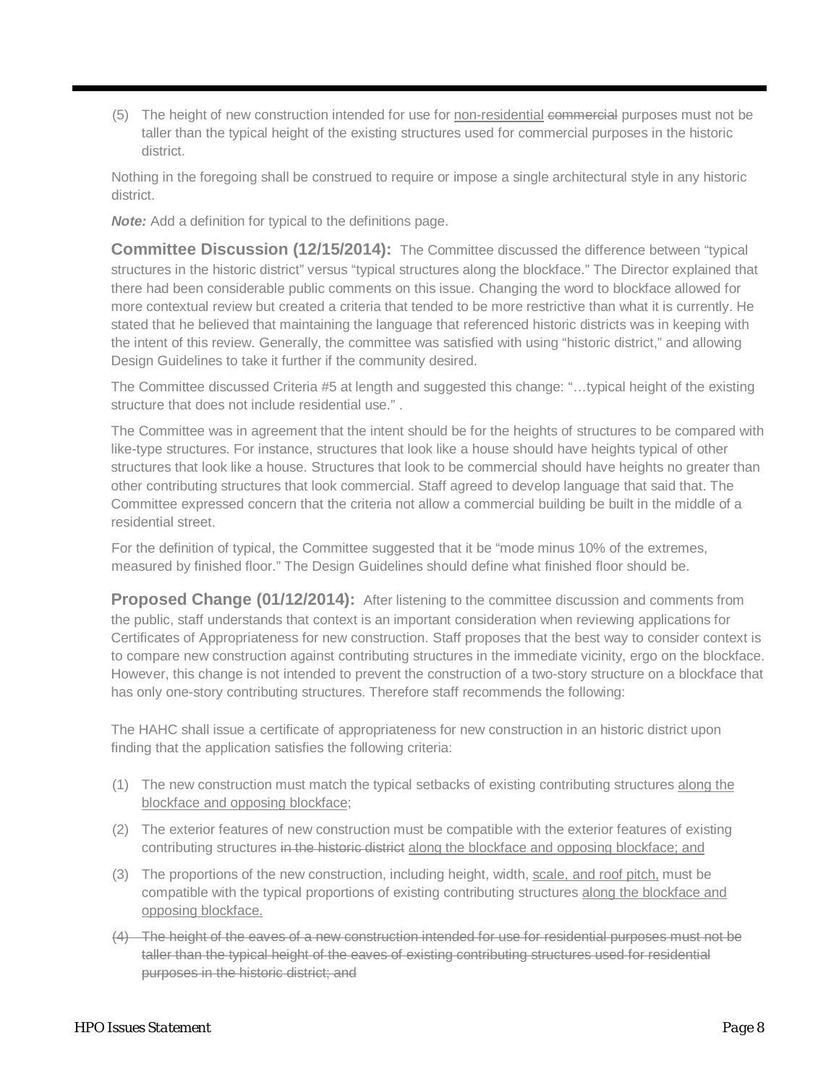(5) The height of new construction intended for use for non-residential commercial purposes must not be taller than the typical height of the existing structures used for commercial purposes in the historic district.

Nothing in the foregoing shall be construed to require or impose a single architectural style in any historic district.

*Note:* Add a definition for typical to the definitions page.

**Committee Discussion (12/15/2014):** The Committee discussed the difference between "typical structures in the historic district" versus "typical structures along the blockface." The Director explained that there had been considerable public comments on this issue. Changing the word to blockface allowed for more contextual review but created a criteria that tended to be more restrictive than what it is currently. He stated that he believed that maintaining the language that referenced historic districts was in keeping with the intent of this review. Generally, the committee was satisfied with using "historic district," and allowing Design Guidelines to take it further if the community desired.

The Committee discussed Criteria #5 at length and suggested this change: "…typical height of the existing structure that does not include residential use." .

The Committee was in agreement that the intent should be for the heights of structures to be compared with like-type structures. For instance, structures that look like a house should have heights typical of other structures that look like a house. Structures that look to be commercial should have heights no greater than other contributing structures that look commercial. Staff agreed to develop language that said that. The Committee expressed concern that the criteria not allow a commercial building be built in the middle of a residential street.

For the definition of typical, the Committee suggested that it be "mode minus 10% of the extremes, measured by finished floor." The Design Guidelines should define what finished floor should be.

Proposed Change (01/12/2014): After listening to the committee discussion and comments from the public, staff understands that context is an important consideration when reviewing applications for Certificates of Appropriateness for new construction. Staff proposes that the best way to consider context is to compare new construction against contributing structures in the immediate vicinity, ergo on the blockface. However, this change is not intended to prevent the construction of a two-story structure on a blockface that has only one-story contributing structures. Therefore staff recommends the following:

- (1) The new construction must match the typical setbacks of existing contributing structures along the blockface and opposing blockface;
- (2) The exterior features of new construction must be compatible with the exterior features of existing contributing structures in the historic district along the blockface and opposing blockface; and
- (3) The proportions of the new construction, including height, width, scale, and roof pitch, must be compatible with the typical proportions of existing contributing structures along the blockface and opposing blockface.
- (4) The height of the eaves of a new construction intended for use for residential purposes must not be taller than the typical height of the eaves of existing contributing structures used for residential purposes in the historic district; and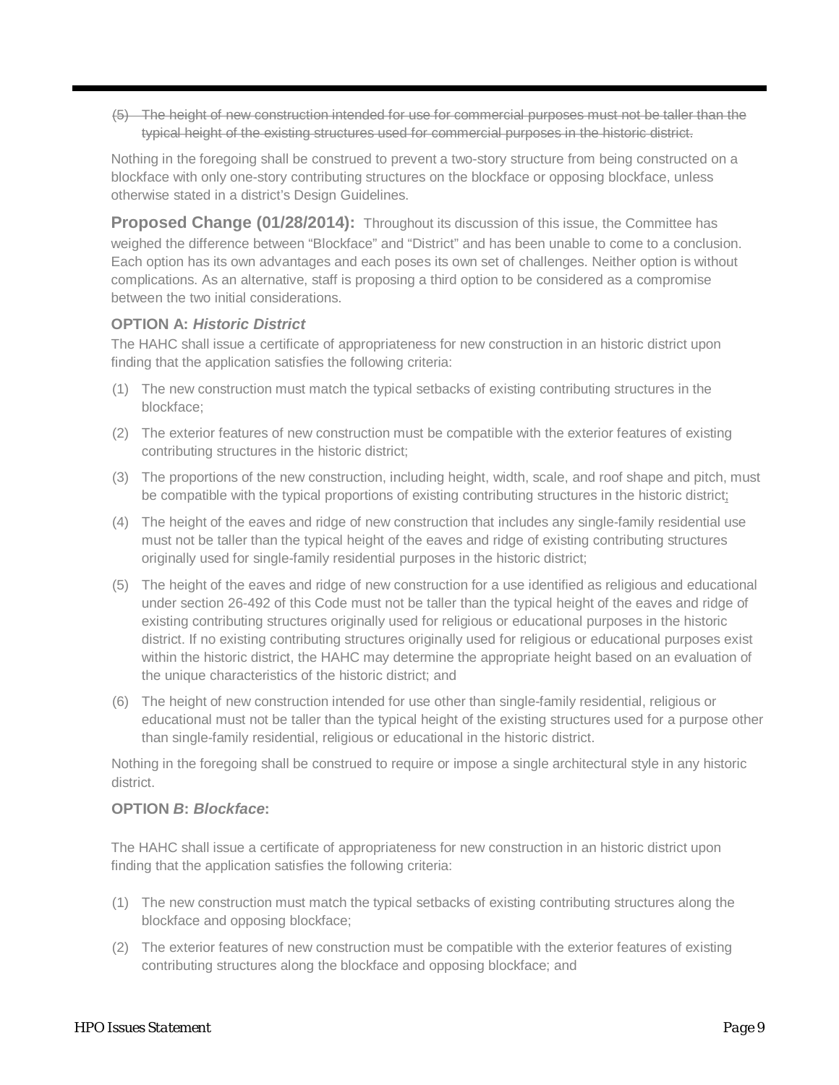(5) The height of new construction intended for use for commercial purposes must not be taller than the typical height of the existing structures used for commercial purposes in the historic district.

Nothing in the foregoing shall be construed to prevent a two-story structure from being constructed on a blockface with only one-story contributing structures on the blockface or opposing blockface, unless otherwise stated in a district's Design Guidelines.

**Proposed Change (01/28/2014):** Throughout its discussion of this issue, the Committee has weighed the difference between "Blockface" and "District" and has been unable to come to a conclusion. Each option has its own advantages and each poses its own set of challenges. Neither option is without complications. As an alternative, staff is proposing a third option to be considered as a compromise between the two initial considerations.

#### **OPTION A:** *Historic District*

The HAHC shall issue a certificate of appropriateness for new construction in an historic district upon finding that the application satisfies the following criteria:

- (1) The new construction must match the typical setbacks of existing contributing structures in the blockface;
- (2) The exterior features of new construction must be compatible with the exterior features of existing contributing structures in the historic district;
- (3) The proportions of the new construction, including height, width, scale, and roof shape and pitch, must be compatible with the typical proportions of existing contributing structures in the historic district;
- (4) The height of the eaves and ridge of new construction that includes any single-family residential use must not be taller than the typical height of the eaves and ridge of existing contributing structures originally used for single-family residential purposes in the historic district;
- (5) The height of the eaves and ridge of new construction for a use identified as religious and educational under section 26-492 of this Code must not be taller than the typical height of the eaves and ridge of existing contributing structures originally used for religious or educational purposes in the historic district. If no existing contributing structures originally used for religious or educational purposes exist within the historic district, the HAHC may determine the appropriate height based on an evaluation of the unique characteristics of the historic district; and
- (6) The height of new construction intended for use other than single-family residential, religious or educational must not be taller than the typical height of the existing structures used for a purpose other than single-family residential, religious or educational in the historic district.

Nothing in the foregoing shall be construed to require or impose a single architectural style in any historic district.

#### **OPTION** *B***:** *Blockface***:**

- (1) The new construction must match the typical setbacks of existing contributing structures along the blockface and opposing blockface;
- (2) The exterior features of new construction must be compatible with the exterior features of existing contributing structures along the blockface and opposing blockface; and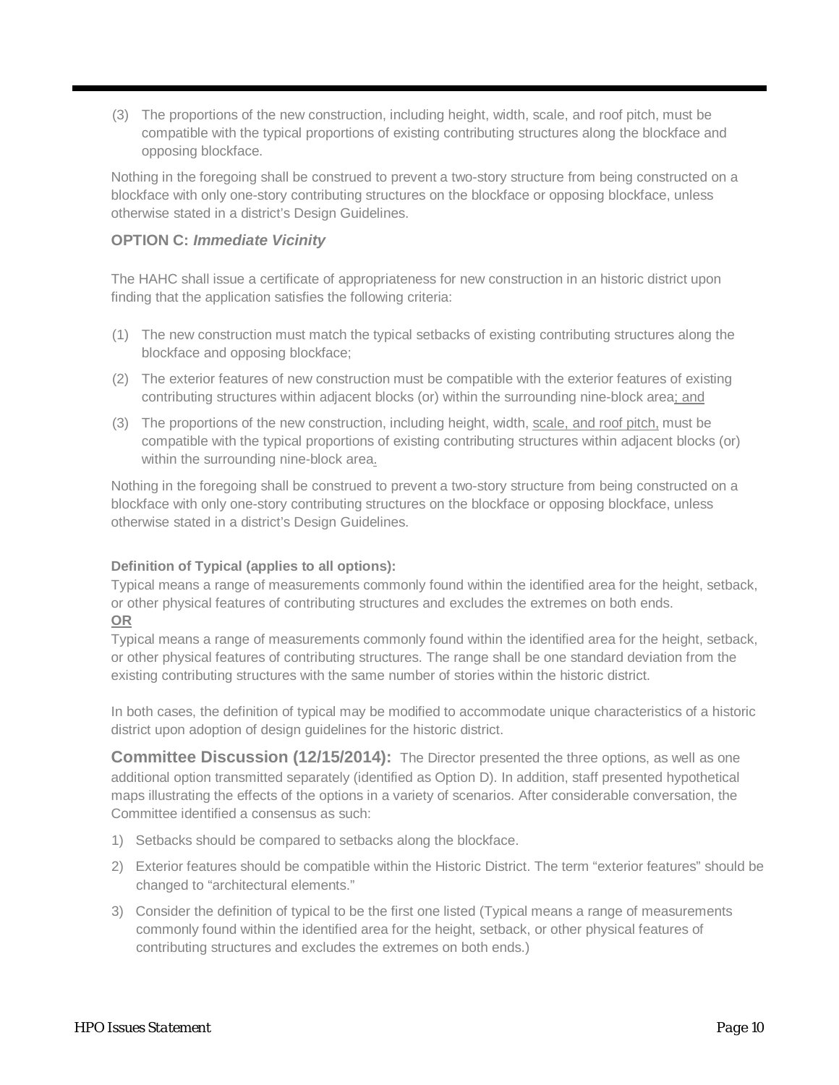(3) The proportions of the new construction, including height, width, scale, and roof pitch, must be compatible with the typical proportions of existing contributing structures along the blockface and opposing blockface.

Nothing in the foregoing shall be construed to prevent a two-story structure from being constructed on a blockface with only one-story contributing structures on the blockface or opposing blockface, unless otherwise stated in a district's Design Guidelines.

## **OPTION C:** *Immediate Vicinity*

The HAHC shall issue a certificate of appropriateness for new construction in an historic district upon finding that the application satisfies the following criteria:

- (1) The new construction must match the typical setbacks of existing contributing structures along the blockface and opposing blockface;
- (2) The exterior features of new construction must be compatible with the exterior features of existing contributing structures within adjacent blocks (or) within the surrounding nine-block area; and
- (3) The proportions of the new construction, including height, width, scale, and roof pitch, must be compatible with the typical proportions of existing contributing structures within adjacent blocks (or) within the surrounding nine-block area.

Nothing in the foregoing shall be construed to prevent a two-story structure from being constructed on a blockface with only one-story contributing structures on the blockface or opposing blockface, unless otherwise stated in a district's Design Guidelines.

#### **Definition of Typical (applies to all options):**

Typical means a range of measurements commonly found within the identified area for the height, setback, or other physical features of contributing structures and excludes the extremes on both ends. **OR**

Typical means a range of measurements commonly found within the identified area for the height, setback, or other physical features of contributing structures. The range shall be one standard deviation from the existing contributing structures with the same number of stories within the historic district.

In both cases, the definition of typical may be modified to accommodate unique characteristics of a historic district upon adoption of design guidelines for the historic district.

**Committee Discussion (12/15/2014):** The Director presented the three options, as well as one additional option transmitted separately (identified as Option D). In addition, staff presented hypothetical maps illustrating the effects of the options in a variety of scenarios. After considerable conversation, the Committee identified a consensus as such:

- 1) Setbacks should be compared to setbacks along the blockface.
- 2) Exterior features should be compatible within the Historic District. The term "exterior features" should be changed to "architectural elements."
- 3) Consider the definition of typical to be the first one listed (Typical means a range of measurements commonly found within the identified area for the height, setback, or other physical features of contributing structures and excludes the extremes on both ends.)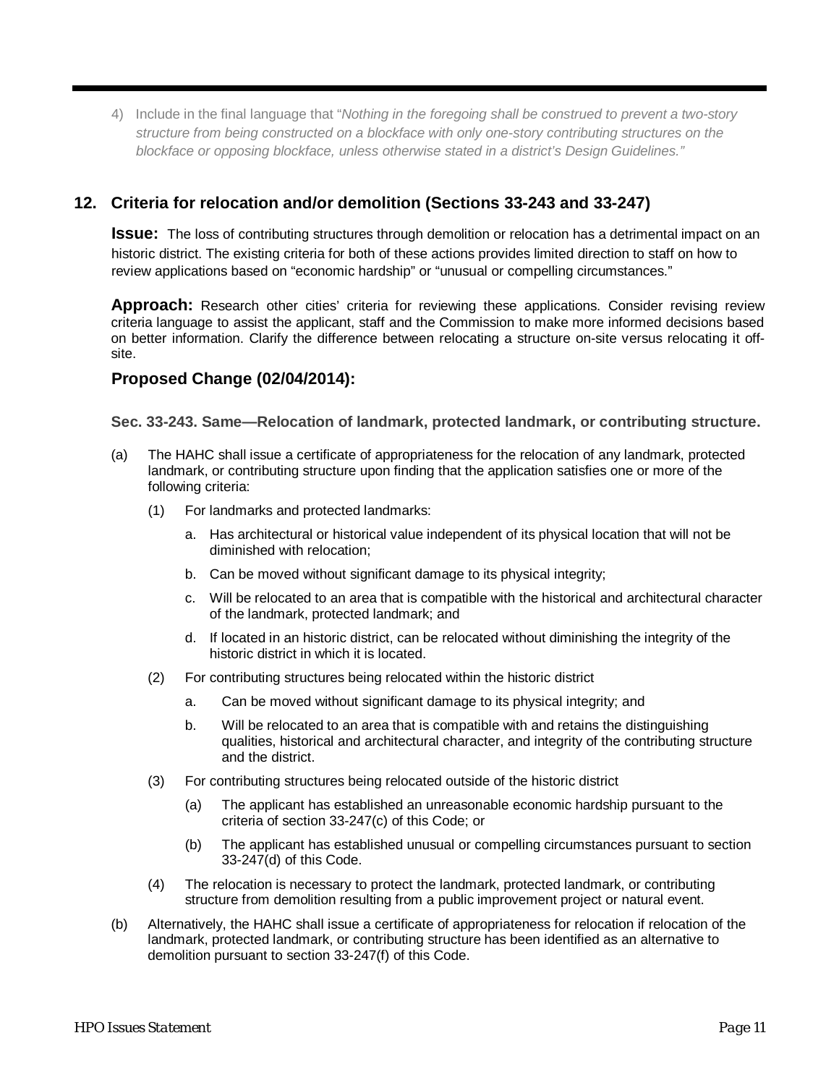4) Include in the final language that "*Nothing in the foregoing shall be construed to prevent a two-story structure from being constructed on a blockface with only one-story contributing structures on the blockface or opposing blockface, unless otherwise stated in a district's Design Guidelines."*

# **12. Criteria for relocation and/or demolition (Sections 33-243 and 33-247)**

**Issue:** The loss of contributing structures through demolition or relocation has a detrimental impact on an historic district. The existing criteria for both of these actions provides limited direction to staff on how to review applications based on "economic hardship" or "unusual or compelling circumstances."

**Approach:** Research other cities' criteria for reviewing these applications. Consider revising review criteria language to assist the applicant, staff and the Commission to make more informed decisions based on better information. Clarify the difference between relocating a structure on-site versus relocating it offsite.

## **Proposed Change (02/04/2014):**

**Sec. 33-243. Same—Relocation of landmark, protected landmark, or contributing structure.**

- (a) The HAHC shall issue a certificate of appropriateness for the relocation of any landmark, protected landmark, or contributing structure upon finding that the application satisfies one or more of the following criteria:
	- (1) For landmarks and protected landmarks:
		- a. Has architectural or historical value independent of its physical location that will not be diminished with relocation;
		- b. Can be moved without significant damage to its physical integrity;
		- c. Will be relocated to an area that is compatible with the historical and architectural character of the landmark, protected landmark; and
		- d. If located in an historic district, can be relocated without diminishing the integrity of the historic district in which it is located.
	- (2) For contributing structures being relocated within the historic district
		- a. Can be moved without significant damage to its physical integrity; and
		- b. Will be relocated to an area that is compatible with and retains the distinguishing qualities, historical and architectural character, and integrity of the contributing structure and the district.
	- (3) For contributing structures being relocated outside of the historic district
		- (a) The applicant has established an unreasonable economic hardship pursuant to the criteria of section 33-247(c) of this Code; or
		- (b) The applicant has established unusual or compelling circumstances pursuant to section 33-247(d) of this Code.
	- (4) The relocation is necessary to protect the landmark, protected landmark, or contributing structure from demolition resulting from a public improvement project or natural event.
- (b) Alternatively, the HAHC shall issue a certificate of appropriateness for relocation if relocation of the landmark, protected landmark, or contributing structure has been identified as an alternative to demolition pursuant to section 33-247(f) of this Code.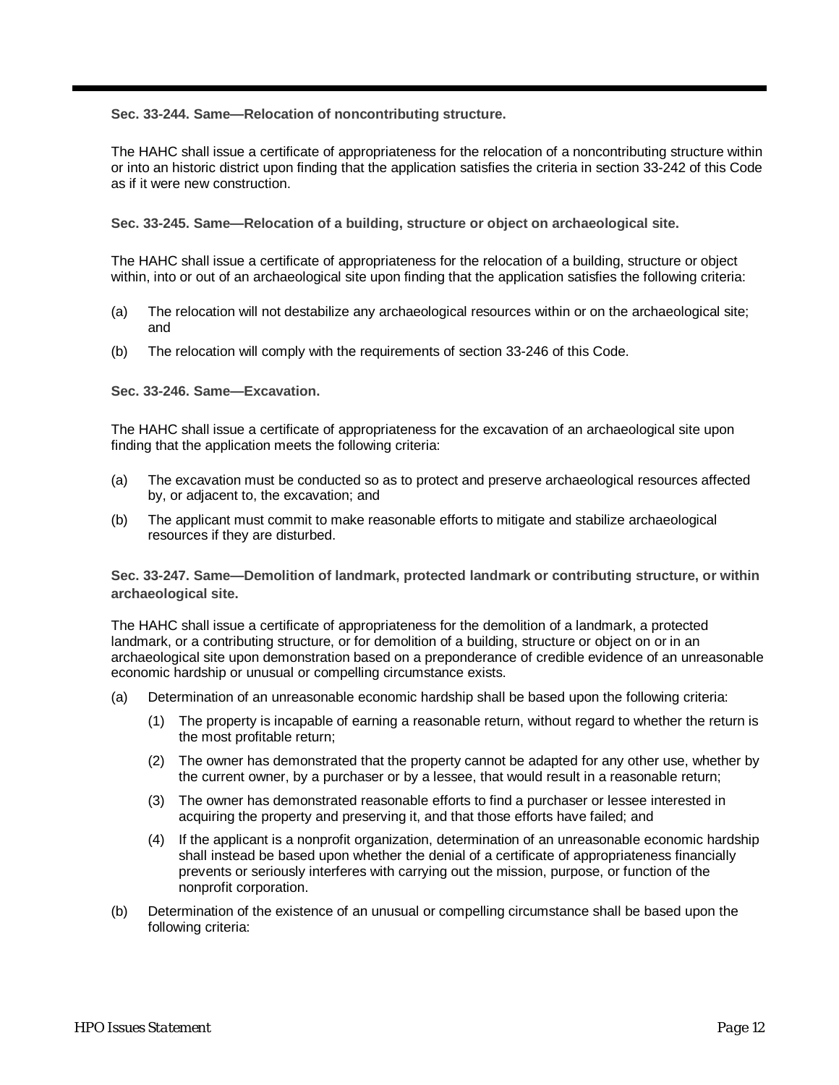**Sec. 33-244. Same—Relocation of noncontributing structure.**

The HAHC shall issue a certificate of appropriateness for the relocation of a noncontributing structure within or into an historic district upon finding that the application satisfies the criteria in section 33-242 of this Code as if it were new construction.

**Sec. 33-245. Same—Relocation of a building, structure or object on archaeological site.**

The HAHC shall issue a certificate of appropriateness for the relocation of a building, structure or object within, into or out of an archaeological site upon finding that the application satisfies the following criteria:

- (a) The relocation will not destabilize any archaeological resources within or on the archaeological site; and
- (b) The relocation will comply with the requirements of section 33-246 of this Code.

**Sec. 33-246. Same—Excavation.**

The HAHC shall issue a certificate of appropriateness for the excavation of an archaeological site upon finding that the application meets the following criteria:

- (a) The excavation must be conducted so as to protect and preserve archaeological resources affected by, or adjacent to, the excavation; and
- (b) The applicant must commit to make reasonable efforts to mitigate and stabilize archaeological resources if they are disturbed.

**Sec. 33-247. Same—Demolition of landmark, protected landmark or contributing structure, or within archaeological site.**

The HAHC shall issue a certificate of appropriateness for the demolition of a landmark, a protected landmark, or a contributing structure, or for demolition of a building, structure or object on or in an archaeological site upon demonstration based on a preponderance of credible evidence of an unreasonable economic hardship or unusual or compelling circumstance exists.

- (a) Determination of an unreasonable economic hardship shall be based upon the following criteria:
	- (1) The property is incapable of earning a reasonable return, without regard to whether the return is the most profitable return;
	- (2) The owner has demonstrated that the property cannot be adapted for any other use, whether by the current owner, by a purchaser or by a lessee, that would result in a reasonable return;
	- (3) The owner has demonstrated reasonable efforts to find a purchaser or lessee interested in acquiring the property and preserving it, and that those efforts have failed; and
	- (4) If the applicant is a nonprofit organization, determination of an unreasonable economic hardship shall instead be based upon whether the denial of a certificate of appropriateness financially prevents or seriously interferes with carrying out the mission, purpose, or function of the nonprofit corporation.
- (b) Determination of the existence of an unusual or compelling circumstance shall be based upon the following criteria: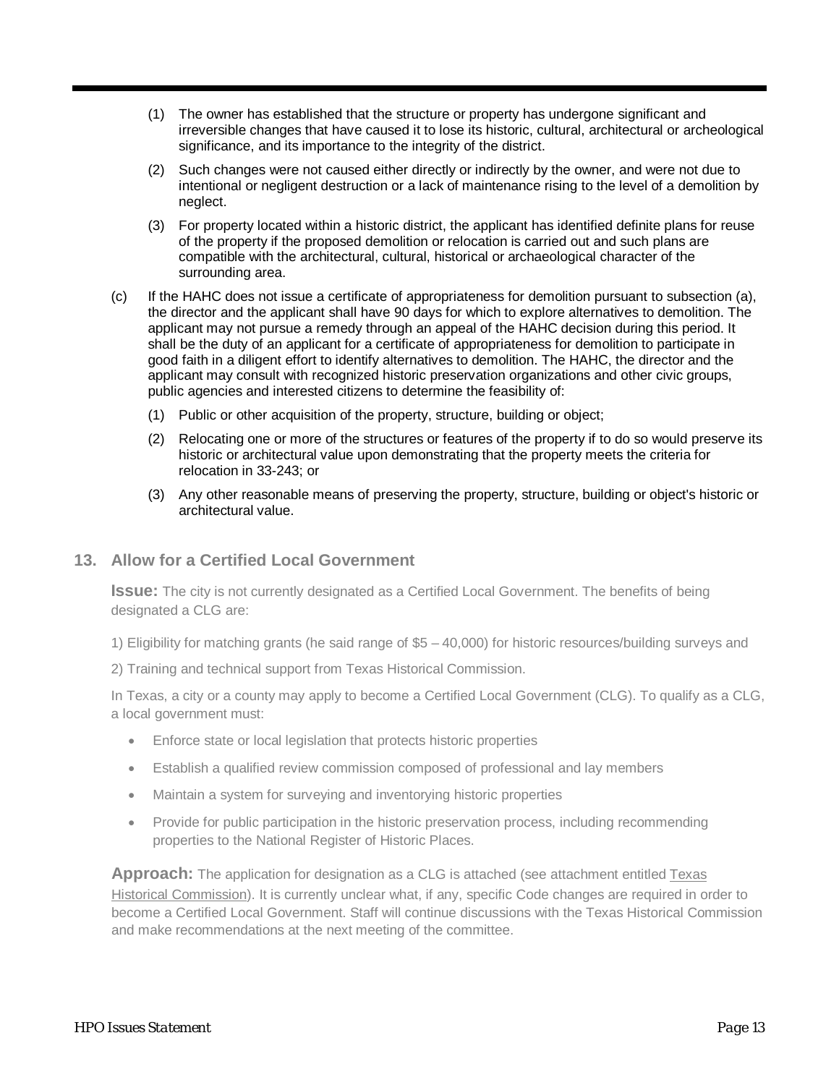- (1) The owner has established that the structure or property has undergone significant and irreversible changes that have caused it to lose its historic, cultural, architectural or archeological significance, and its importance to the integrity of the district.
- (2) Such changes were not caused either directly or indirectly by the owner, and were not due to intentional or negligent destruction or a lack of maintenance rising to the level of a demolition by neglect.
- (3) For property located within a historic district, the applicant has identified definite plans for reuse of the property if the proposed demolition or relocation is carried out and such plans are compatible with the architectural, cultural, historical or archaeological character of the surrounding area.
- (c) If the HAHC does not issue a certificate of appropriateness for demolition pursuant to subsection (a), the director and the applicant shall have 90 days for which to explore alternatives to demolition. The applicant may not pursue a remedy through an appeal of the HAHC decision during this period. It shall be the duty of an applicant for a certificate of appropriateness for demolition to participate in good faith in a diligent effort to identify alternatives to demolition. The HAHC, the director and the applicant may consult with recognized historic preservation organizations and other civic groups, public agencies and interested citizens to determine the feasibility of:
	- (1) Public or other acquisition of the property, structure, building or object;
	- (2) Relocating one or more of the structures or features of the property if to do so would preserve its historic or architectural value upon demonstrating that the property meets the criteria for relocation in 33-243; or
	- (3) Any other reasonable means of preserving the property, structure, building or object's historic or architectural value.

#### **13. Allow for a Certified Local Government**

**Issue:** The city is not currently designated as a Certified Local Government. The benefits of being designated a CLG are:

1) Eligibility for matching grants (he said range of \$5 – 40,000) for historic resources/building surveys and

2) Training and technical support from Texas Historical Commission.

In Texas, a city or a county may apply to become a Certified Local Government (CLG). To qualify as a CLG, a local government must:

- Enforce state or local legislation that protects historic properties
- Establish a qualified review commission composed of professional and lay members
- Maintain a system for surveying and inventorying historic properties
- Provide for public participation in the historic preservation process, including recommending properties to the National Register of Historic Places.

**Approach:** The application for designation as a CLG is attached (see attachment entitled Texas Historical Commission). It is currently unclear what, if any, specific Code changes are required in order to become a Certified Local Government. Staff will continue discussions with the Texas Historical Commission and make recommendations at the next meeting of the committee.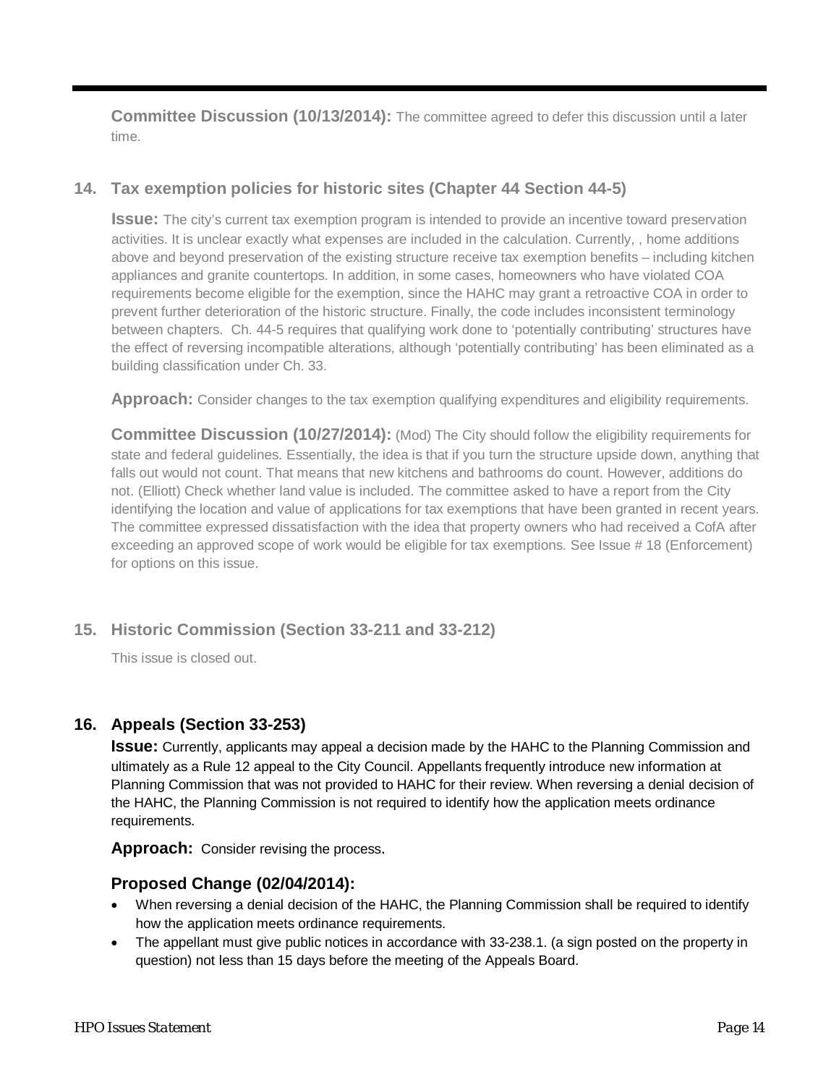**Committee Discussion (10/13/2014):** The committee agreed to defer this discussion until a later time.

# **14. Tax exemption policies for historic sites (Chapter 44 Section 44-5)**

**Issue:** The city's current tax exemption program is intended to provide an incentive toward preservation activities. It is unclear exactly what expenses are included in the calculation. Currently, , home additions above and beyond preservation of the existing structure receive tax exemption benefits – including kitchen appliances and granite countertops. In addition, in some cases, homeowners who have violated COA requirements become eligible for the exemption, since the HAHC may grant a retroactive COA in order to prevent further deterioration of the historic structure. Finally, the code includes inconsistent terminology between chapters. Ch. 44-5 requires that qualifying work done to 'potentially contributing' structures have the effect of reversing incompatible alterations, although 'potentially contributing' has been eliminated as a building classification under Ch. 33.

Approach: Consider changes to the tax exemption qualifying expenditures and eligibility requirements.

**Committee Discussion (10/27/2014):** (Mod) The City should follow the eligibility requirements for state and federal guidelines. Essentially, the idea is that if you turn the structure upside down, anything that falls out would not count. That means that new kitchens and bathrooms do count. However, additions do not. (Elliott) Check whether land value is included. The committee asked to have a report from the City identifying the location and value of applications for tax exemptions that have been granted in recent years. The committee expressed dissatisfaction with the idea that property owners who had received a CofA after exceeding an approved scope of work would be eligible for tax exemptions. See Issue # 18 (Enforcement) for options on this issue.

## **15. Historic Commission (Section 33-211 and 33-212)**

This issue is closed out.

## **16. Appeals (Section 33-253)**

**Issue:** Currently, applicants may appeal a decision made by the HAHC to the Planning Commission and ultimately as a Rule 12 appeal to the City Council. Appellants frequently introduce new information at Planning Commission that was not provided to HAHC for their review. When reversing a denial decision of the HAHC, the Planning Commission is not required to identify how the application meets ordinance requirements.

**Approach:** Consider revising the process.

## **Proposed Change (02/04/2014):**

- When reversing a denial decision of the HAHC, the Planning Commission shall be required to identify how the application meets ordinance requirements.
- The appellant must give public notices in accordance with 33-238.1. (a sign posted on the property in question) not less than 15 days before the meeting of the Appeals Board.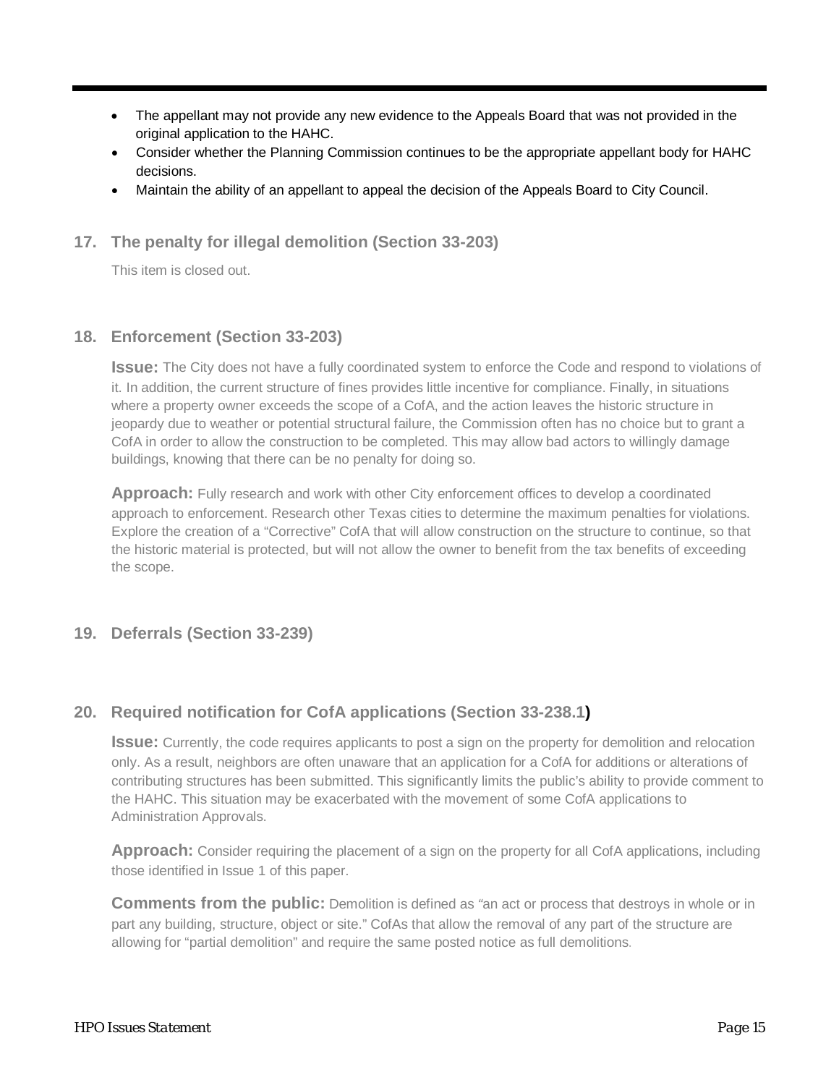- The appellant may not provide any new evidence to the Appeals Board that was not provided in the original application to the HAHC.
- Consider whether the Planning Commission continues to be the appropriate appellant body for HAHC decisions.
- Maintain the ability of an appellant to appeal the decision of the Appeals Board to City Council.
- **17. The penalty for illegal demolition (Section 33-203)**

This item is closed out.

## **18. Enforcement (Section 33-203)**

**Issue:** The City does not have a fully coordinated system to enforce the Code and respond to violations of it. In addition, the current structure of fines provides little incentive for compliance. Finally, in situations where a property owner exceeds the scope of a CofA, and the action leaves the historic structure in jeopardy due to weather or potential structural failure, the Commission often has no choice but to grant a CofA in order to allow the construction to be completed. This may allow bad actors to willingly damage buildings, knowing that there can be no penalty for doing so.

**Approach:** Fully research and work with other City enforcement offices to develop a coordinated approach to enforcement. Research other Texas cities to determine the maximum penalties for violations. Explore the creation of a "Corrective" CofA that will allow construction on the structure to continue, so that the historic material is protected, but will not allow the owner to benefit from the tax benefits of exceeding the scope.

#### **19. Deferrals (Section 33-239)**

## **20. Required notification for CofA applications (Section 33-238.1)**

**Issue:** Currently, the code requires applicants to post a sign on the property for demolition and relocation only. As a result, neighbors are often unaware that an application for a CofA for additions or alterations of contributing structures has been submitted. This significantly limits the public's ability to provide comment to the HAHC. This situation may be exacerbated with the movement of some CofA applications to Administration Approvals.

Approach: Consider requiring the placement of a sign on the property for all CofA applications, including those identified in Issue 1 of this paper.

**Comments from the public:** Demolition is defined as *"*an act or process that destroys in whole or in part any building, structure, object or site." CofAs that allow the removal of any part of the structure are allowing for "partial demolition" and require the same posted notice as full demolitions.